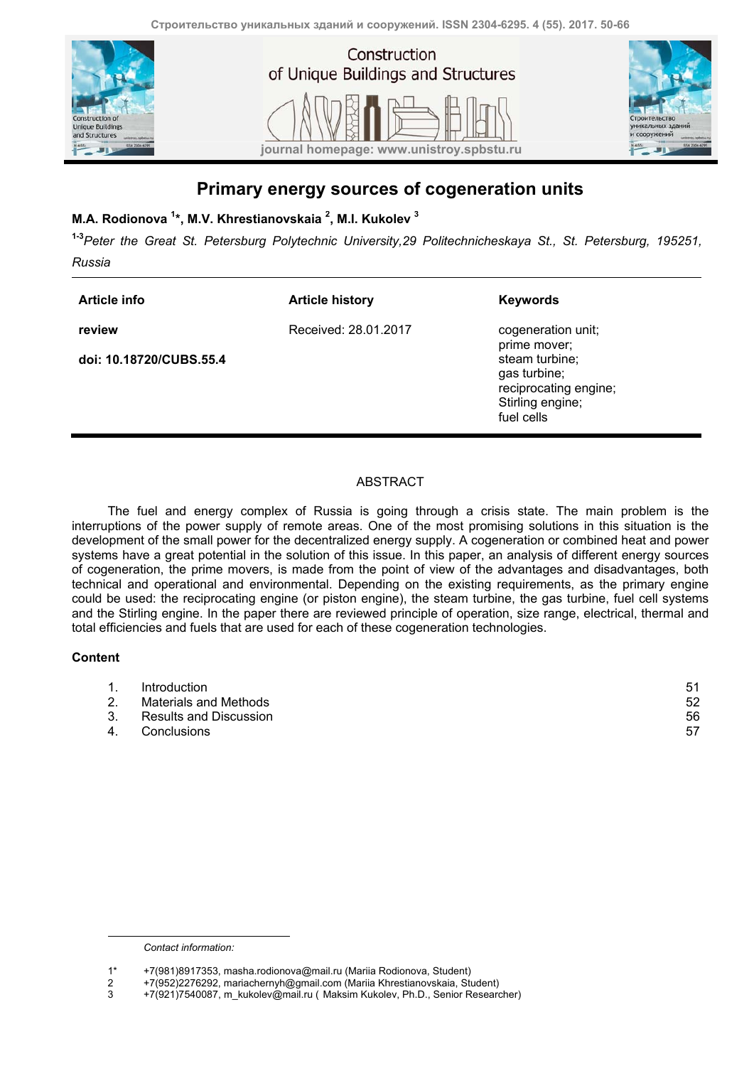

## **Primary energy sources of cogeneration units**

**M.A. Rodionova <sup>1</sup> \*, M.V. Khrestianovskaia <sup>2</sup> , M.I. Kukolev <sup>3</sup>**

**1-3***Peter the Great St. Petersburg Polytechnic University,29 Politechnicheskaya St., St. Petersburg, 195251, Russia* 

| Article info                      | <b>Article history</b> | <b>Keywords</b>                                                                                                                 |
|-----------------------------------|------------------------|---------------------------------------------------------------------------------------------------------------------------------|
| review<br>doi: 10.18720/CUBS.55.4 | Received: 28.01.2017   | cogeneration unit;<br>prime mover;<br>steam turbine;<br>gas turbine;<br>reciprocating engine;<br>Stirling engine;<br>fuel cells |

### ABSTRACT

The fuel and energy complex of Russia is going through a crisis state. The main problem is the interruptions of the power supply of remote areas. One of the most promising solutions in this situation is the development of the small power for the decentralized energy supply. A cogeneration or combined heat and power systems have a great potential in the solution of this issue. In this paper, an analysis of different energy sources of cogeneration, the prime movers, is made from the point of view of the advantages and disadvantages, both technical and operational and environmental. Depending on the existing requirements, as the primary engine could be used: the reciprocating engine (or piston engine), the steam turbine, the gas turbine, fuel cell systems and the Stirling engine. In the paper there are reviewed principle of operation, size range, electrical, thermal and total efficiencies and fuels that are used for each of these cogeneration technologies.

### **Content**

-

|     | Introduction                  | -51 |
|-----|-------------------------------|-----|
| -2. | Materials and Methods         | 52  |
| 3.  | <b>Results and Discussion</b> | 56  |
| 4.  | Conclusions                   | 57  |

*Contact information:* 

<sup>1\* +7(981)8917353,</sup> masha.rodionova@mail.ru (Mariia Rodionova, Student)<br>2 +7(952)2276292, mariachernyh@gmail.com (Mariia Khrestianovskaia, Stu<br>3 +7(921)7540087, m kukolev@mail.ru (Maksim Kukolev, Ph.D., Senior R 2 +7(952)2276292, mariachernyh@gmail.com (Mariia Khrestianovskaia, Student)

<sup>+7(921)7540087,</sup> m\_kukolev@mail.ru ( Maksim Kukolev, Ph.D., Senior Researcher)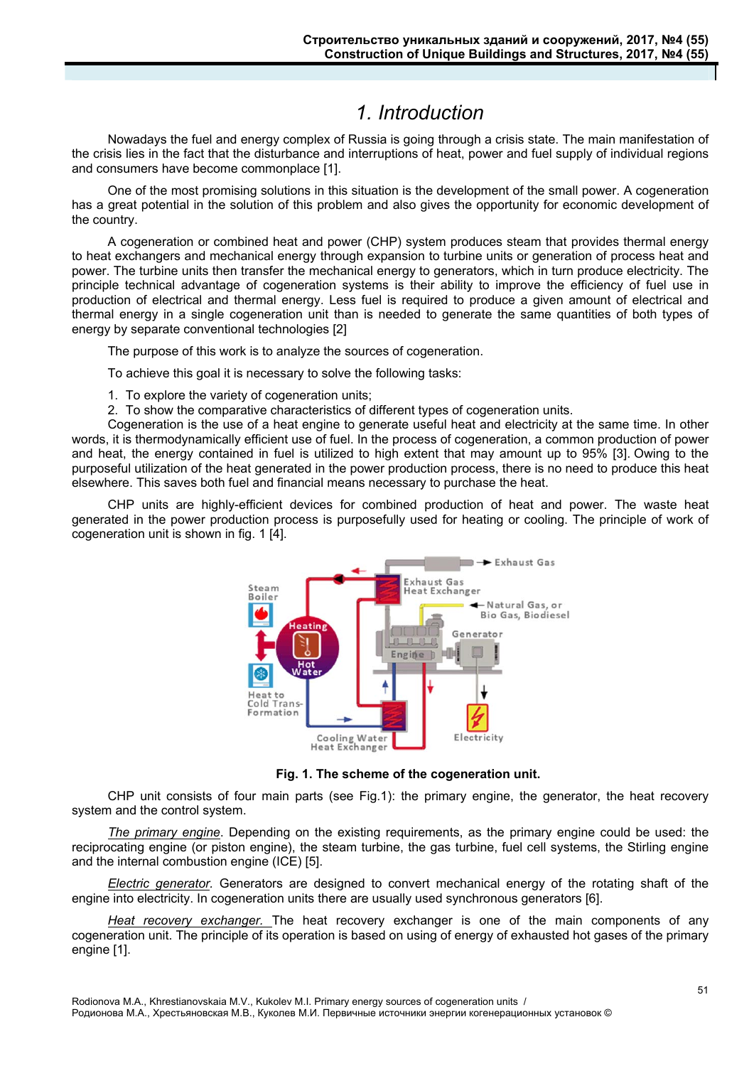# *1. Introduction*

Nowadays the fuel and energy complex of Russia is going through a crisis state. The main manifestation of the crisis lies in the fact that the disturbance and interruptions of heat, power and fuel supply of individual regions and consumers have become commonplace [1].

One of the most promising solutions in this situation is the development of the small power. A cogeneration has a great potential in the solution of this problem and also gives the opportunity for economic development of the country.

A cogeneration or combined heat and power (CHP) system produces steam that provides thermal energy to heat exchangers and mechanical energy through expansion to turbine units or generation of process heat and power. The turbine units then transfer the mechanical energy to generators, which in turn produce electricity. The principle technical advantage of cogeneration systems is their ability to improve the efficiency of fuel use in production of electrical and thermal energy. Less fuel is required to produce a given amount of electrical and thermal energy in a single cogeneration unit than is needed to generate the same quantities of both types of energy by separate conventional technologies [2]

The purpose of this work is to analyze the sources of cogeneration.

To achieve this goal it is necessary to solve the following tasks:

1. To explore the variety of cogeneration units;

2. To show the comparative characteristics of different types of cogeneration units.

Cogeneration is the use of a heat engine to generate useful heat and electricity at the same time. In other words, it is thermodynamically efficient use of fuel. In the process of cogeneration, a common production of power and heat, the energy contained in fuel is utilized to high extent that may amount up to 95% [3]. Owing to the purposeful utilization of the heat generated in the power production process, there is no need to produce this heat elsewhere. This saves both fuel and financial means necessary to purchase the heat.

CHP units are highly-efficient devices for combined production of heat and power. The waste heat generated in the power production process is purposefully used for heating or cooling. The principle of work of cogeneration unit is shown in fig. 1 [4].



**Fig. 1. The scheme of the cogeneration unit.** 

CHP unit consists of four main parts (see Fig.1): the primary engine, the generator, the heat recovery system and the control system.

*The primary engine*. Depending on the existing requirements, as the primary engine could be used: the reciprocating engine (or piston engine), the steam turbine, the gas turbine, fuel cell systems, the Stirling engine and the internal combustion engine (ICE) [5].

*Electric generator.* Generators are designed to convert mechanical energy of the rotating shaft of the engine into electricity. In cogeneration units there are usually used synchronous generators [6].

*Heat recovery exchanger.* The heat recovery exchanger is one of the main components of any cogeneration unit. The principle of its operation is based on using of energy of exhausted hot gases of the primary engine [1].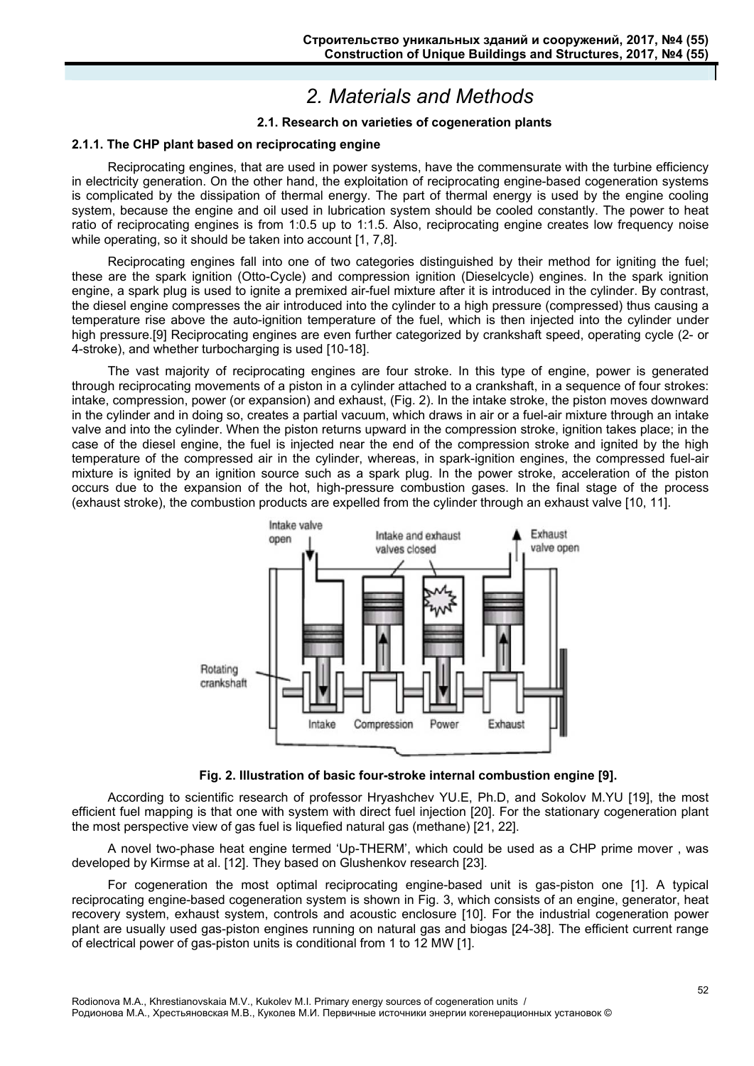# *2. Materials and Methods*

### **2.1. Research on varieties of cogeneration plants**

#### **2.1.1. The CHP plant based on reciprocating engine**

Reciprocating engines, that are used in power systems, have the commensurate with the turbine efficiency in electricity generation. On the other hand, the exploitation of reciprocating engine-based cogeneration systems is complicated by the dissipation of thermal energy. The part of thermal energy is used by the engine cooling system, because the engine and oil used in lubrication system should be cooled constantly. The power to heat ratio of reciprocating engines is from 1:0.5 up to 1:1.5. Also, reciprocating engine creates low frequency noise while operating, so it should be taken into account [1, 7,8].

Reciprocating engines fall into one of two categories distinguished by their method for igniting the fuel; these are the spark ignition (Otto-Cycle) and compression ignition (Dieselcycle) engines. In the spark ignition engine, a spark plug is used to ignite a premixed air-fuel mixture after it is introduced in the cylinder. By contrast, the diesel engine compresses the air introduced into the cylinder to a high pressure (compressed) thus causing a temperature rise above the auto-ignition temperature of the fuel, which is then injected into the cylinder under high pressure.[9] Reciprocating engines are even further categorized by crankshaft speed, operating cycle (2- or 4-stroke), and whether turbocharging is used [10-18].

The vast majority of reciprocating engines are four stroke. In this type of engine, power is generated through reciprocating movements of a piston in a cylinder attached to a crankshaft, in a sequence of four strokes: intake, compression, power (or expansion) and exhaust, (Fig. 2). In the intake stroke, the piston moves downward in the cylinder and in doing so, creates a partial vacuum, which draws in air or a fuel-air mixture through an intake valve and into the cylinder. When the piston returns upward in the compression stroke, ignition takes place; in the case of the diesel engine, the fuel is injected near the end of the compression stroke and ignited by the high temperature of the compressed air in the cylinder, whereas, in spark-ignition engines, the compressed fuel-air mixture is ignited by an ignition source such as a spark plug. In the power stroke, acceleration of the piston occurs due to the expansion of the hot, high-pressure combustion gases. In the final stage of the process (exhaust stroke), the combustion products are expelled from the cylinder through an exhaust valve [10, 11].



**Fig. 2. Illustration of basic four-stroke internal combustion engine [9].** 

According to scientific research of professor Hryashchev YU.E, Ph.D, and Sokolov M.YU [19], the most efficient fuel mapping is that one with system with direct fuel injection [20]. For the stationary cogeneration plant the most perspective view of gas fuel is liquefied natural gas (methane) [21, 22].

A novel two-phase heat engine termed 'Up-THERM', which could be used as a CHP prime mover , was developed by Kirmse at al. [12]. They based on Glushenkov research [23].

For cogeneration the most optimal reciprocating engine-based unit is gas-piston one [1]. A typical reciprocating engine-based cogeneration system is shown in Fig. 3, which consists of an engine, generator, heat recovery system, exhaust system, controls and acoustic enclosure [10]. For the industrial cogeneration power plant are usually used gas-piston engines running on natural gas and biogas [24-38]. The efficient current range of electrical power of gas-piston units is conditional from 1 to 12 MW [1].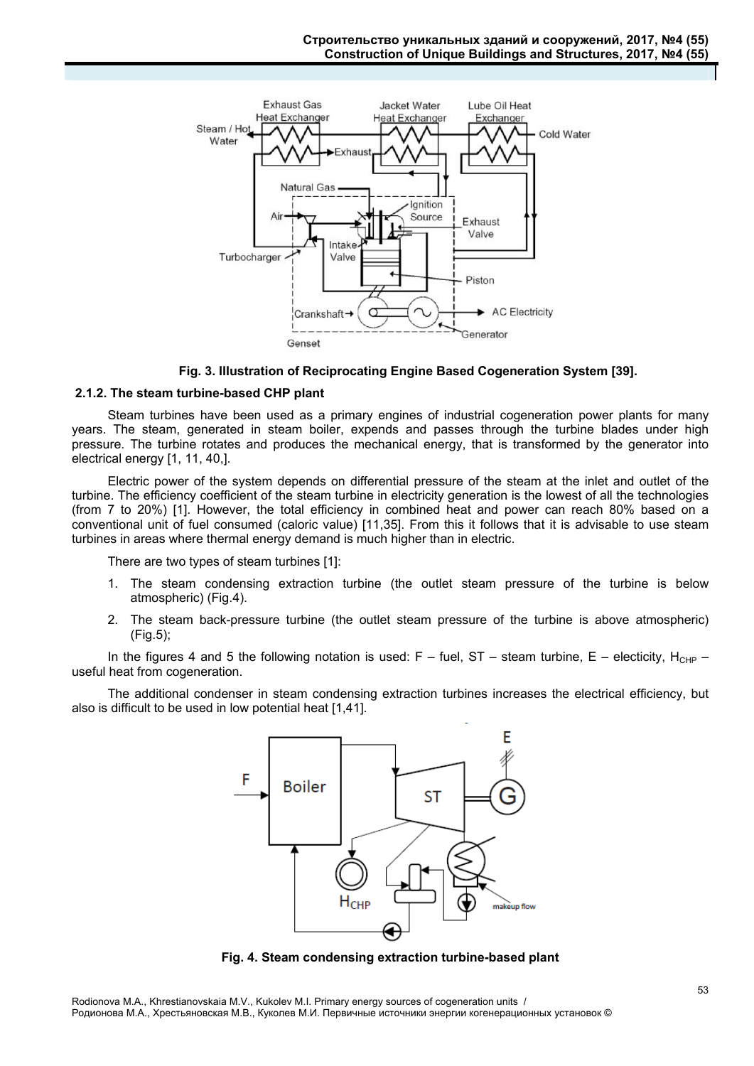

#### **Fig. 3. Illustration of Reciprocating Engine Based Cogeneration System [39].**

#### **2.1.2. The steam turbine-based CHP plant**

Steam turbines have been used as a primary engines of industrial cogeneration power plants for many years. The steam, generated in steam boiler, expends and passes through the turbine blades under high pressure. The turbine rotates and produces the mechanical energy, that is transformed by the generator into electrical energy [1, 11, 40,].

Electric power of the system depends on differential pressure of the steam at the inlet and outlet of the turbine. The efficiency coefficient of the steam turbine in electricity generation is the lowest of all the technologies (from 7 to 20%) [1]. However, the total efficiency in combined heat and power can reach 80% based on a conventional unit of fuel consumed (caloric value) [11,35]. From this it follows that it is advisable to use steam turbines in areas where thermal energy demand is much higher than in electric.

There are two types of steam turbines [1]:

- 1. The steam condensing extraction turbine (the outlet steam pressure of the turbine is below atmospheric) (Fig.4).
- 2. The steam back-pressure turbine (the outlet steam pressure of the turbine is above atmospheric) (Fig.5);

In the figures 4 and 5 the following notation is used: F – fuel, ST – steam turbine, E – electicity, H<sub>CHP</sub> – useful heat from cogeneration.

The additional condenser in steam condensing extraction turbines increases the electrical efficiency, but also is difficult to be used in low potential heat [1,41].



**Fig. 4. Steam condensing extraction turbine-based plant**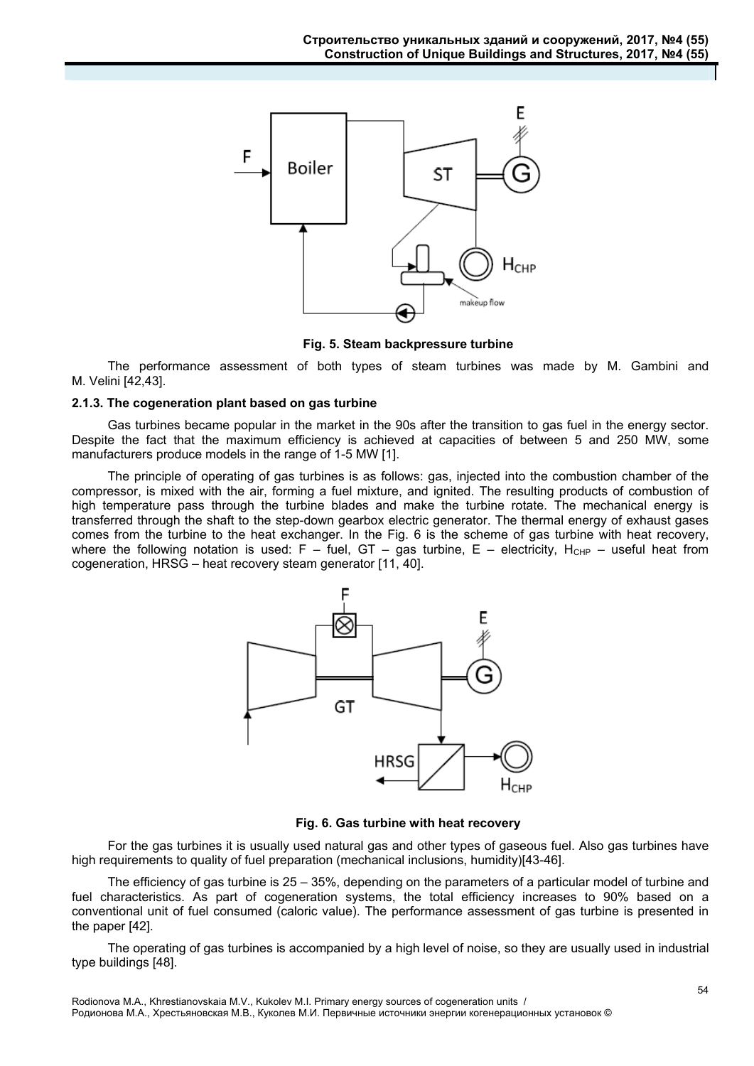

**Fig. 5. Steam backpressure turbine** 

The performance assessment of both types of steam turbines was made by M. Gambini and M. Velini [42,43].

#### **2.1.3. The cogeneration plant based on gas turbine**

Gas turbines became popular in the market in the 90s after the transition to gas fuel in the energy sector. Despite the fact that the maximum efficiency is achieved at capacities of between 5 and 250 MW, some manufacturers produce models in the range of 1-5 MW [1].

The principle of operating of gas turbines is as follows: gas, injected into the combustion chamber of the compressor, is mixed with the air, forming a fuel mixture, and ignited. The resulting products of combustion of high temperature pass through the turbine blades and make the turbine rotate. The mechanical energy is transferred through the shaft to the step-down gearbox electric generator. The thermal energy of exhaust gases comes from the turbine to the heat exchanger. In the Fig. 6 is the scheme of gas turbine with heat recovery, where the following notation is used: F – fuel, GT – gas turbine, E – electricity, H<sub>CHP</sub> – useful heat from cogeneration, HRSG – heat recovery steam generator [11, 40].



**Fig. 6. Gas turbine with heat recovery** 

For the gas turbines it is usually used natural gas and other types of gaseous fuel. Also gas turbines have high requirements to quality of fuel preparation (mechanical inclusions, humidity)[43-46].

The efficiency of gas turbine is 25 – 35%, depending on the parameters of a particular model of turbine and fuel characteristics. As part of cogeneration systems, the total efficiency increases to 90% based on a conventional unit of fuel consumed (caloric value). The performance assessment of gas turbine is presented in the paper [42].

The operating of gas turbines is accompanied by a high level of noise, so they are usually used in industrial type buildings [48].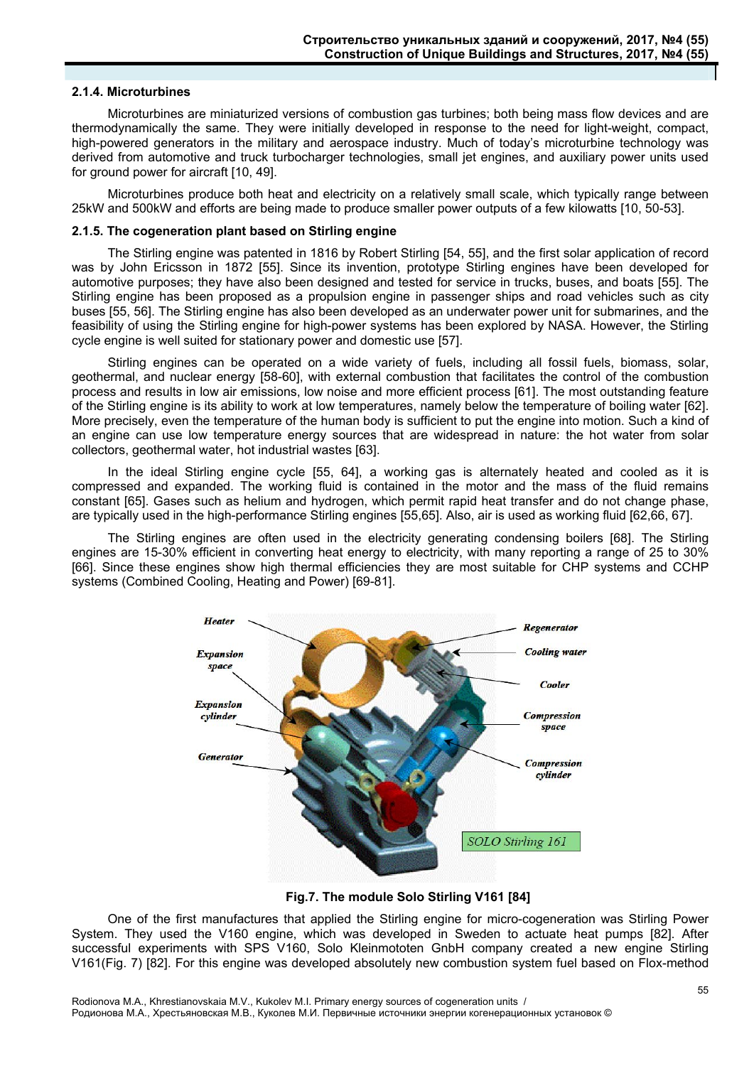#### **2.1.4. Microturbines**

Microturbines are miniaturized versions of combustion gas turbines; both being mass flow devices and are thermodynamically the same. They were initially developed in response to the need for light-weight, compact, high-powered generators in the military and aerospace industry. Much of today's microturbine technology was derived from automotive and truck turbocharger technologies, small jet engines, and auxiliary power units used for ground power for aircraft [10, 49].

Microturbines produce both heat and electricity on a relatively small scale, which typically range between 25kW and 500kW and efforts are being made to produce smaller power outputs of a few kilowatts [10, 50-53].

#### **2.1.5. The cogeneration plant based on Stirling engine**

The Stirling engine was patented in 1816 by Robert Stirling [54, 55], and the first solar application of record was by John Ericsson in 1872 [55]. Since its invention, prototype Stirling engines have been developed for automotive purposes; they have also been designed and tested for service in trucks, buses, and boats [55]. The Stirling engine has been proposed as a propulsion engine in passenger ships and road vehicles such as city buses [55, 56]. The Stirling engine has also been developed as an underwater power unit for submarines, and the feasibility of using the Stirling engine for high-power systems has been explored by NASA. However, the Stirling cycle engine is well suited for stationary power and domestic use [57].

Stirling engines can be operated on a wide variety of fuels, including all fossil fuels, biomass, solar, geothermal, and nuclear energy [58-60], with external combustion that facilitates the control of the combustion process and results in low air emissions, low noise and more efficient process [61]. The most outstanding feature of the Stirling engine is its ability to work at low temperatures, namely below the temperature of boiling water [62]. More precisely, even the temperature of the human body is sufficient to put the engine into motion. Such a kind of an engine can use low temperature energy sources that are widespread in nature: the hot water from solar collectors, geothermal water, hot industrial wastes [63].

In the ideal Stirling engine cycle [55, 64], a working gas is alternately heated and cooled as it is compressed and expanded. The working fluid is contained in the motor and the mass of the fluid remains constant [65]. Gases such as helium and hydrogen, which permit rapid heat transfer and do not change phase, are typically used in the high-performance Stirling engines [55,65]. Also, air is used as working fluid [62,66, 67].

The Stirling engines are often used in the electricity generating condensing boilers [68]. The Stirling engines are 15-30% efficient in converting heat energy to electricity, with many reporting a range of 25 to 30% [66]. Since these engines show high thermal efficiencies they are most suitable for CHP systems and CCHP systems (Combined Cooling, Heating and Power) [69-81].



**Fig.7. The module Solo Stirling V161 [84]**

One of the first manufactures that applied the Stirling engine for micro-cogeneration was Stirling Power System. They used the V160 engine, which was developed in Sweden to actuate heat pumps [82]. After successful experiments with SPS V160, Solo Kleinmototen GnbH company created a new engine Stirling V161(Fig. 7) [82]. For this engine was developed absolutely new combustion system fuel based on Flox-method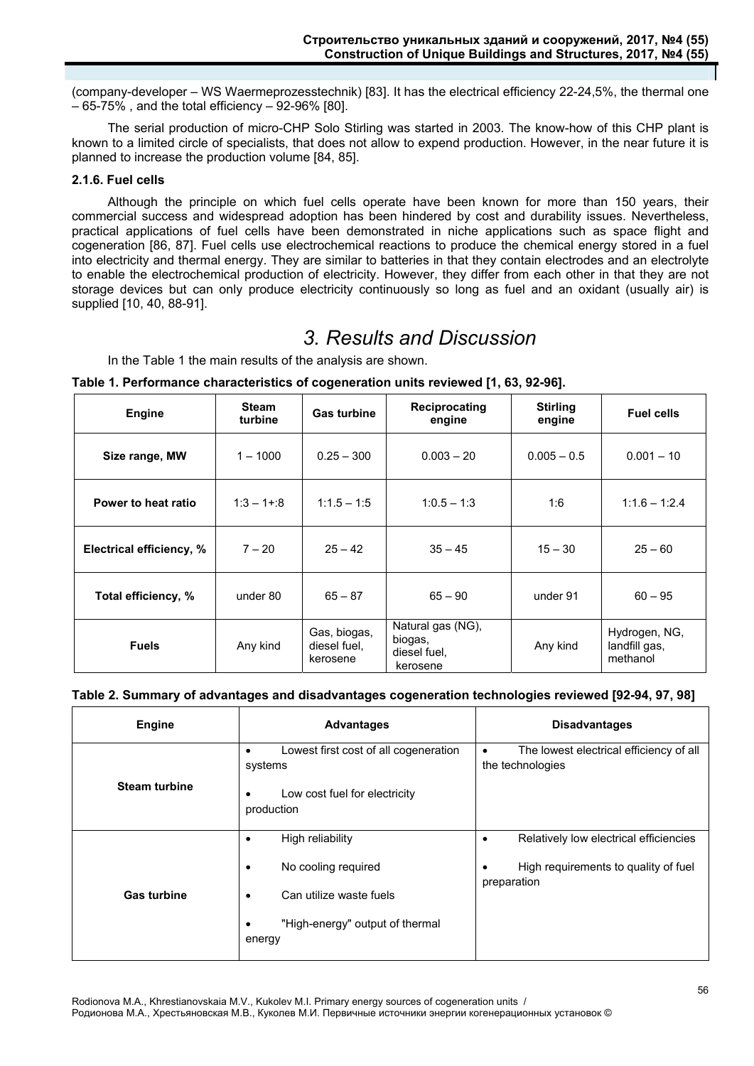(company-developer – WS Waermeprozesstechnik) [83]. It has the electrical efficiency 22-24,5%, the thermal one – 65-75% , and the total efficiency – 92-96% [80].

The serial production of micro-CHP Solo Stirling was started in 2003. The know-how of this CHP plant is known to a limited circle of specialists, that does not allow to expend production. However, in the near future it is planned to increase the production volume [84, 85].

### **2.1.6. Fuel cells**

Although the principle on which fuel cells operate have been known for more than 150 years, their commercial success and widespread adoption has been hindered by cost and durability issues. Nevertheless, practical applications of fuel cells have been demonstrated in niche applications such as space flight and cogeneration [86, 87]. Fuel cells use electrochemical reactions to produce the chemical energy stored in a fuel into electricity and thermal energy. They are similar to batteries in that they contain electrodes and an electrolyte to enable the electrochemical production of electricity. However, they differ from each other in that they are not storage devices but can only produce electricity continuously so long as fuel and an oxidant (usually air) is supplied [10, 40, 88-91].

# *3. Results and Discussion*

In the Table 1 the main results of the analysis are shown.

**Table 1. Performance characteristics of cogeneration units reviewed [1, 63, 92-96].** 

| <b>Engine</b>            | <b>Steam</b><br>turbine | <b>Gas turbine</b>                       | Reciprocating<br>engine                                  | <b>Stirling</b><br>engine | <b>Fuel cells</b>                          |
|--------------------------|-------------------------|------------------------------------------|----------------------------------------------------------|---------------------------|--------------------------------------------|
| Size range, MW           | $1 - 1000$              | $0.25 - 300$                             | $0.003 - 20$                                             | $0.005 - 0.5$             | $0.001 - 10$                               |
| Power to heat ratio      | $1:3 - 1 + 3$           | $1:1.5 - 1:5$                            | $1:0.5 - 1:3$                                            | 1:6                       | $1:1.6 - 1:2.4$                            |
| Electrical efficiency, % | $7 - 20$                | $25 - 42$                                | $35 - 45$                                                | $15 - 30$                 | $25 - 60$                                  |
| Total efficiency, %      | under 80                | $65 - 87$                                | $65 - 90$                                                | under 91                  | $60 - 95$                                  |
| <b>Fuels</b>             | Any kind                | Gas, biogas,<br>diesel fuel,<br>kerosene | Natural gas (NG),<br>biogas,<br>diesel fuel.<br>kerosene | Any kind                  | Hydrogen, NG,<br>landfill gas,<br>methanol |

#### **Table 2. Summary of advantages and disadvantages cogeneration technologies reviewed [92-94, 97, 98]**

| <b>Engine</b>        | <b>Advantages</b>                                                                                                                      | <b>Disadvantages</b>                                                                                            |  |
|----------------------|----------------------------------------------------------------------------------------------------------------------------------------|-----------------------------------------------------------------------------------------------------------------|--|
| <b>Steam turbine</b> | Lowest first cost of all cogeneration<br>systems<br>Low cost fuel for electricity<br>production                                        | The lowest electrical efficiency of all<br>٠<br>the technologies                                                |  |
| <b>Gas turbine</b>   | High reliability<br>٠<br>No cooling required<br>$\bullet$<br>Can utilize waste fuels<br>٠<br>"High-energy" output of thermal<br>energy | Relatively low electrical efficiencies<br>$\bullet$<br>High requirements to quality of fuel<br>٠<br>preparation |  |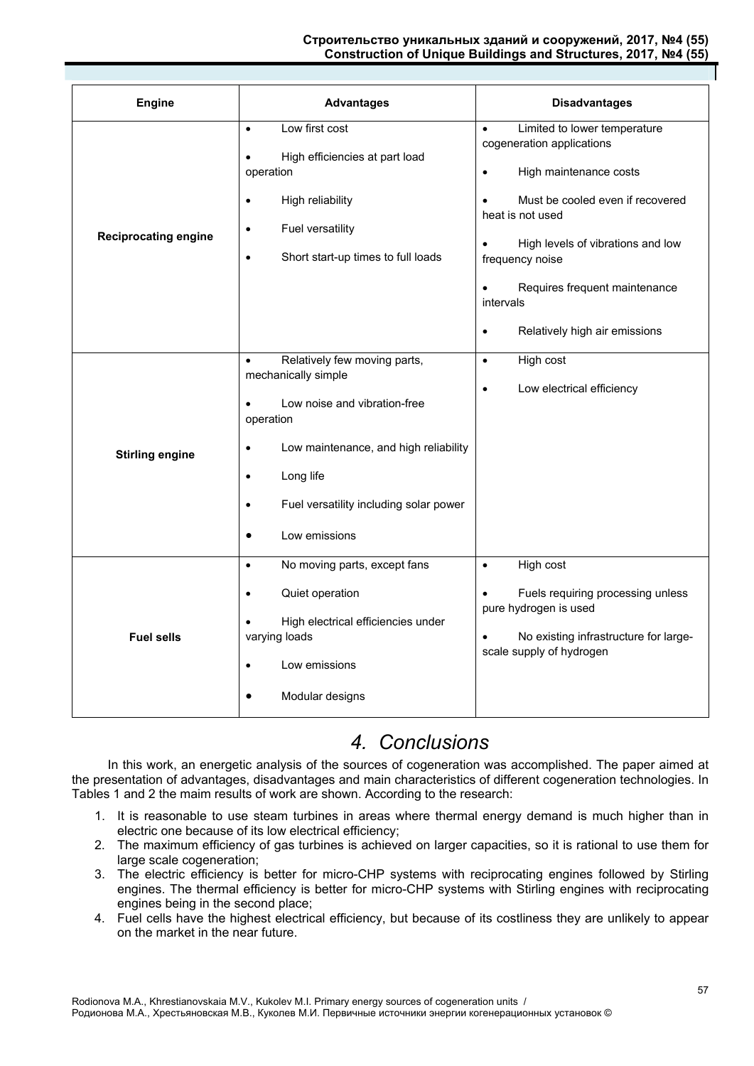#### **Строительство уникальных зданий и сооружений, 2017, №4 (55) Construction of Unique Buildings and Structures, 2017, №4 (55)**

| <b>Engine</b><br><b>Advantages</b> |                                                                                                                                                                                                                                                               | <b>Disadvantages</b>                                                                                                                                                                                                                                                                                                      |  |
|------------------------------------|---------------------------------------------------------------------------------------------------------------------------------------------------------------------------------------------------------------------------------------------------------------|---------------------------------------------------------------------------------------------------------------------------------------------------------------------------------------------------------------------------------------------------------------------------------------------------------------------------|--|
| <b>Reciprocating engine</b>        | Low first cost<br>$\bullet$<br>High efficiencies at part load<br>operation<br>High reliability<br>$\bullet$<br>Fuel versatility<br>$\bullet$<br>Short start-up times to full loads<br>$\bullet$                                                               | Limited to lower temperature<br>$\bullet$<br>cogeneration applications<br>High maintenance costs<br>$\bullet$<br>Must be cooled even if recovered<br>heat is not used<br>High levels of vibrations and low<br>frequency noise<br>Requires frequent maintenance<br>intervals<br>Relatively high air emissions<br>$\bullet$ |  |
| <b>Stirling engine</b>             | Relatively few moving parts,<br>mechanically simple<br>Low noise and vibration-free<br>operation<br>Low maintenance, and high reliability<br>$\bullet$<br>Long life<br>$\bullet$<br>Fuel versatility including solar power<br>$\bullet$<br>Low emissions<br>٠ | High cost<br>$\bullet$<br>Low electrical efficiency<br>$\bullet$                                                                                                                                                                                                                                                          |  |
| <b>Fuel sells</b>                  | No moving parts, except fans<br>$\bullet$<br>Quiet operation<br>High electrical efficiencies under<br>varying loads<br>Low emissions<br>$\bullet$<br>Modular designs                                                                                          | High cost<br>$\bullet$<br>Fuels requiring processing unless<br>pure hydrogen is used<br>No existing infrastructure for large-<br>scale supply of hydrogen                                                                                                                                                                 |  |

# *4. Conclusions*

In this work, an energetic analysis of the sources of cogeneration was accomplished. The paper aimed at the presentation of advantages, disadvantages and main characteristics of different cogeneration technologies. In Tables 1 and 2 the maim results of work are shown. According to the research:

- 1. It is reasonable to use steam turbines in areas where thermal energy demand is much higher than in electric one because of its low electrical efficiency;
- 2. The maximum efficiency of gas turbines is achieved on larger capacities, so it is rational to use them for large scale cogeneration;
- 3. The electric efficiency is better for micro-CHP systems with reciprocating engines followed by Stirling engines. The thermal efficiency is better for micro-CHP systems with Stirling engines with reciprocating engines being in the second place;
- 4. Fuel cells have the highest electrical efficiency, but because of its costliness they are unlikely to appear on the market in the near future.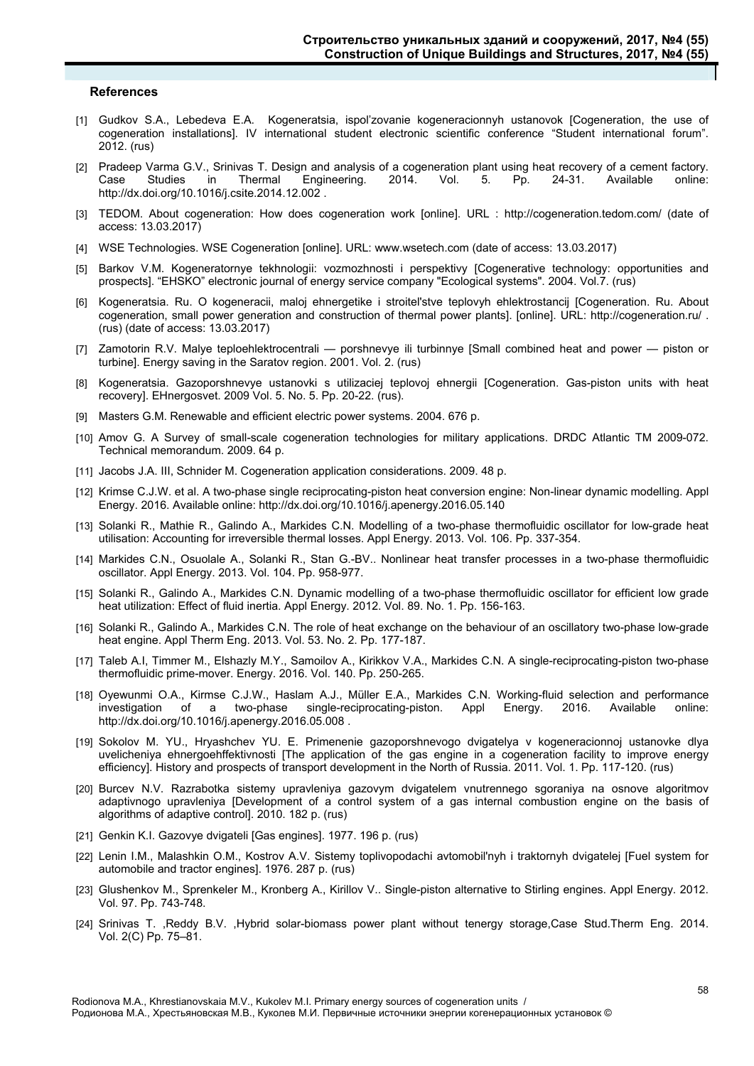#### **References**

- [1] Gudkov S.A., Lebedeva E.A. Kogeneratsia, ispol'zovanie kogeneracionnyh ustanovok [Cogeneration, the use of cogeneration installations]. IV international student electronic scientific conference "Student international forum". 2012. (rus)
- [2] Pradeep Varma G.V., Srinivas T. Design and analysis of a cogeneration plant using heat recovery of a cement factory. Case Studies in Thermal Engineering. 2014. Vol. 5. Pp. 24-31. Available online: http://dx.doi.org/10.1016/j.csite.2014.12.002 .
- [3] TEDOM. About cogeneration: How does cogeneration work [online]. URL : http://cogeneration.tedom.com/ (date of access: 13.03.2017)
- [4] WSE Technologies. WSE Cogeneration [online]. URL: www.wsetech.com (date of access: 13.03.2017)
- [5] Barkov V.M. Kogeneratornye tekhnologii: vozmozhnosti i perspektivy [Cogenerative technology: opportunities and prospects]. "EHSKO" electronic journal of energy service company "Ecological systems". 2004. Vol.7. (rus)
- [6] Kogeneratsia. Ru. O kogeneracii, maloj ehnergetike i stroitel'stve teplovyh ehlektrostancij [Cogeneration. Ru. About cogeneration, small power generation and construction of thermal power plants]. [online]. URL: http://cogeneration.ru/ . (rus) (date of access: 13.03.2017)
- [7] Zamotorin R.V. Malye teploehlektrocentrali porshnevye ili turbinnye [Small combined heat and power piston or turbine]. Energy saving in the Saratov region. 2001. Vol. 2. (rus)
- [8] Kogeneratsia. Gazoporshnevye ustanovki s utilizaciej teplovoj ehnergii [Cogeneration. Gas-piston units with heat recovery]. EHnergosvet. 2009 Vol. 5. No. 5. Pp. 20-22. (rus).
- [9] Masters G.M. Renewable and efficient electric power systems. 2004. 676 p.
- [10] Amov G. A Survey of small-scale cogeneration technologies for military applications. DRDC Atlantic TM 2009-072. Technical memorandum. 2009. 64 p.
- [11] Jacobs J.A. III, Schnider M. Cogeneration application considerations. 2009. 48 p.
- [12] Krimse C.J.W. et al. A two-phase single reciprocating-piston heat conversion engine: Non-linear dynamic modelling. Appl Energy. 2016. Available online: http://dx.doi.org/10.1016/j.apenergy.2016.05.140
- [13] Solanki R., Mathie R., Galindo A., Markides C.N. Modelling of a two-phase thermofluidic oscillator for low-grade heat utilisation: Accounting for irreversible thermal losses. Appl Energy. 2013. Vol. 106. Pp. 337-354.
- [14] Markides C.N., Osuolale A., Solanki R., Stan G.-BV.. Nonlinear heat transfer processes in a two-phase thermofluidic oscillator. Appl Energy. 2013. Vol. 104. Pp. 958-977.
- [15] Solanki R., Galindo A., Markides C.N. Dynamic modelling of a two-phase thermofluidic oscillator for efficient low grade heat utilization: Effect of fluid inertia. Appl Energy. 2012. Vol. 89. No. 1. Pp. 156-163.
- [16] Solanki R., Galindo A., Markides C.N. The role of heat exchange on the behaviour of an oscillatory two-phase low-grade heat engine. Appl Therm Eng. 2013. Vol. 53. No. 2. Pp. 177-187.
- [17] Taleb A.I, Timmer M., Elshazly M.Y., Samoilov A., Kirikkov V.A., Markides C.N. A single-reciprocating-piston two-phase thermofluidic prime-mover. Energy. 2016. Vol. 140. Pp. 250-265.
- [18] Oyewunmi O.A., Kirmse C.J.W., Haslam A.J., Müller E.A., Markides C.N. Working-fluid selection and performance investigation of a two-phase single-reciprocating-piston. Appl Energy. 2016. Available online: http://dx.doi.org/10.1016/j.apenergy.2016.05.008 .
- [19] Sokolov M. YU., Hryashchev YU. E. Primenenie gazoporshnevogo dvigatelya v kogeneracionnoj ustanovke dlya uvelicheniya ehnergoehffektivnosti [The application of the gas engine in a cogeneration facility to improve energy efficiency]. History and prospects of transport development in the North of Russia. 2011. Vol. 1. Pp. 117-120. (rus)
- [20] Burcev N.V. Razrabotka sistemy upravleniya gazovym dvigatelem vnutrennego sgoraniya na osnove algoritmov adaptivnogo upravleniya [Development of a control system of a gas internal combustion engine on the basis of algorithms of adaptive control]. 2010. 182 p. (rus)
- [21] Genkin K.I. Gazovye dvigateli [Gas engines]. 1977. 196 p. (rus)
- [22] Lenin I.M., Malashkin O.M., Kostrov A.V. Sistemy toplivopodachi avtomobil'nyh i traktornyh dvigatelej [Fuel system for automobile and tractor engines]. 1976. 287 p. (rus)
- [23] Glushenkov M., Sprenkeler M., Kronberg A., Kirillov V.. Single-piston alternative to Stirling engines. Appl Energy. 2012. Vol. 97. Pp. 743-748.
- [24] Srinivas T. ,Reddy B.V. ,Hybrid solar-biomass power plant without tenergy storage,Case Stud.Therm Eng. 2014. Vol. 2(C) Pp. 75–81.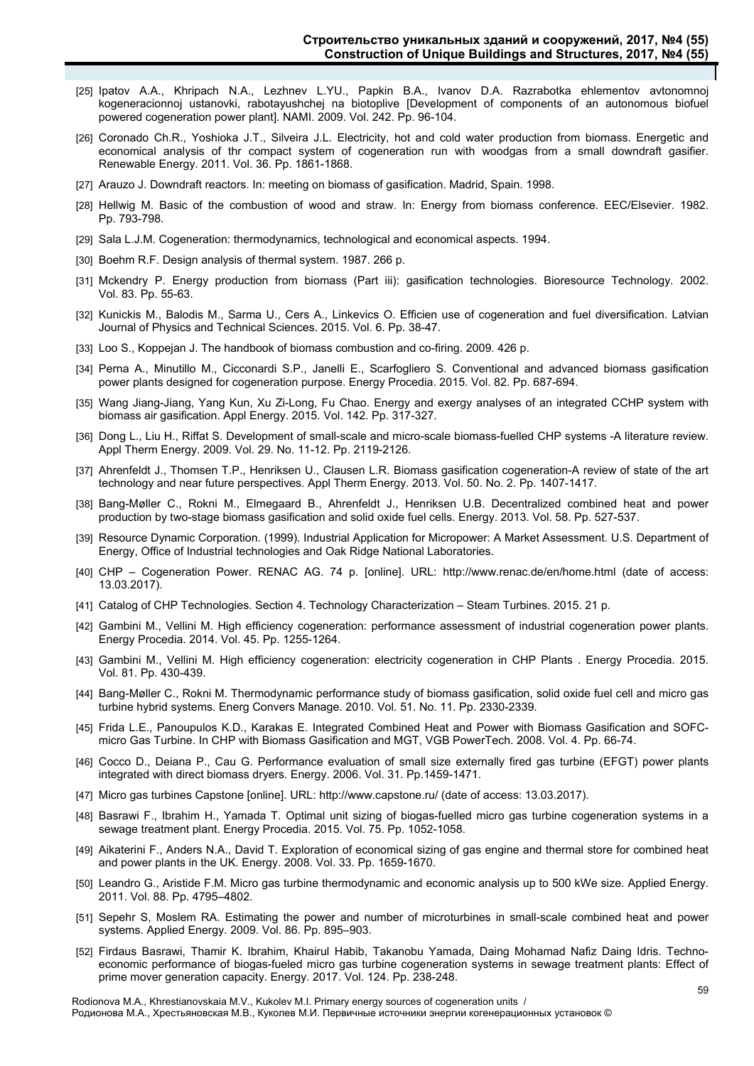- [25] Ipatov A.A., Khripach N.A., Lezhnev L.YU., Papkin B.A., Ivanov D.A. Razrabotka ehlementov avtonomnoj kogeneracionnoj ustanovki, rabotayushchej na biotoplive [Development of components of an autonomous biofuel powered cogeneration power plant]. NAMI. 2009. Vol. 242. Pp. 96-104.
- [26] Coronado Ch.R., Yoshioka J.T., Silveira J.L. Electricity, hot and cold water production from biomass. Energetic and economical analysis of thr compact system of cogeneration run with woodgas from a small downdraft gasifier. Renewable Energy. 2011. Vol. 36. Pp. 1861-1868.
- [27] Arauzo J. Downdraft reactors. In: meeting on biomass of gasification. Madrid, Spain. 1998.
- [28] Hellwig M. Basic of the combustion of wood and straw. In: Energy from biomass conference. EEC/Elsevier. 1982. Pp. 793-798.
- [29] Sala L.J.M. Cogeneration: thermodynamics, technological and economical aspects. 1994.
- [30] Boehm R.F. Design analysis of thermal system. 1987. 266 p.
- [31] Mckendry P. Energy production from biomass (Part iii): gasification technologies. Bioresource Technology. 2002. Vol. 83. Pp. 55-63.
- [32] Kunickis M., Balodis M., Sarma U., Cers A., Linkevics O. Efficien use of cogeneration and fuel diversification. Latvian Journal of Physics and Technical Sciences. 2015. Vol. 6. Pp. 38-47.
- [33] Loo S., Koppejan J. The handbook of biomass combustion and co-firing. 2009. 426 p.
- [34] Perna A., Minutillo M., Cicconardi S.P., Janelli E., Scarfogliero S. Conventional and advanced biomass gasification power plants designed for cogeneration purpose. Energy Procedia. 2015. Vol. 82. Pp. 687-694.
- [35] Wang Jiang-Jiang, Yang Kun, Xu Zi-Long, Fu Chao. Energy and exergy analyses of an integrated CCHP system with biomass air gasification. Appl Energy. 2015. Vol. 142. Pp. 317-327.
- [36] Dong L., Liu H., Riffat S. Development of small-scale and micro-scale biomass-fuelled CHP systems -A literature review. Appl Therm Energy. 2009. Vol. 29. No. 11-12. Pp. 2119-2126.
- [37] Ahrenfeldt J., Thomsen T.P., Henriksen U., Clausen L.R. Biomass gasification cogeneration-A review of state of the art technology and near future perspectives. Appl Therm Energy. 2013. Vol. 50. No. 2. Pp. 1407-1417.
- [38] Bang-Møller C., Rokni M., Elmegaard B., Ahrenfeldt J., Henriksen U.B. Decentralized combined heat and power production by two-stage biomass gasification and solid oxide fuel cells. Energy. 2013. Vol. 58. Pp. 527-537.
- [39] Resource Dynamic Corporation. (1999). Industrial Application for Micropower: A Market Assessment. U.S. Department of Energy, Office of Industrial technologies and Oak Ridge National Laboratories.
- [40] CHP Cogeneration Power. RENAC AG. 74 p. [online]. URL: http://www.renac.de/en/home.html (date of access: 13.03.2017).
- [41] Catalog of CHP Technologies. Section 4. Technology Characterization Steam Turbines. 2015. 21 p.
- [42] Gambini M., Vellini M. High efficiency cogeneration: performance assessment of industrial cogeneration power plants. Energy Procedia. 2014. Vol. 45. Pp. 1255-1264.
- [43] Gambini M., Vellini M. High efficiency cogeneration: electricity cogeneration in CHP Plants . Energy Procedia. 2015. Vol. 81. Pp. 430-439.
- [44] Bang-Møller C., Rokni M. Thermodynamic performance study of biomass gasification, solid oxide fuel cell and micro gas turbine hybrid systems. Energ Convers Manage. 2010. Vol. 51. No. 11. Pp. 2330-2339.
- [45] Frida L.E., Panoupulos K.D., Karakas E. Integrated Combined Heat and Power with Biomass Gasification and SOFCmicro Gas Turbine. In CHP with Biomass Gasification and MGT, VGB PowerTech. 2008. Vol. 4. Pp. 66-74.
- [46] Cocco D., Deiana P., Cau G. Performance evaluation of small size externally fired gas turbine (EFGT) power plants integrated with direct biomass dryers. Energy. 2006. Vol. 31. Pp.1459-1471.
- [47] Micro gas turbines Capstone [online]. URL: http://www.capstone.ru/ (date of access: 13.03.2017).
- [48] Basrawi F., Ibrahim H., Yamada T. Optimal unit sizing of biogas-fuelled micro gas turbine cogeneration systems in a sewage treatment plant. Energy Procedia. 2015. Vol. 75. Pp. 1052-1058.
- [49] Aikaterini F., Anders N.A., David T. Exploration of economical sizing of gas engine and thermal store for combined heat and power plants in the UK. Energy. 2008. Vol. 33. Pp. 1659-1670.
- [50] Leandro G., Aristide F.M. Micro gas turbine thermodynamic and economic analysis up to 500 kWe size. Applied Energy. 2011. Vol. 88. Pp. 4795–4802.
- [51] Sepehr S, Moslem RA. Estimating the power and number of microturbines in small-scale combined heat and power systems. Applied Energy. 2009. Vol. 86. Pp. 895–903.
- [52] Firdaus Basrawi, Thamir K. Ibrahim, Khairul Habib, Takanobu Yamada, Daing Mohamad Nafiz Daing Idris. Technoeconomic performance of biogas-fueled micro gas turbine cogeneration systems in sewage treatment plants: Effect of prime mover generation capacity. Energy. 2017. Vol. 124. Pp. 238-248.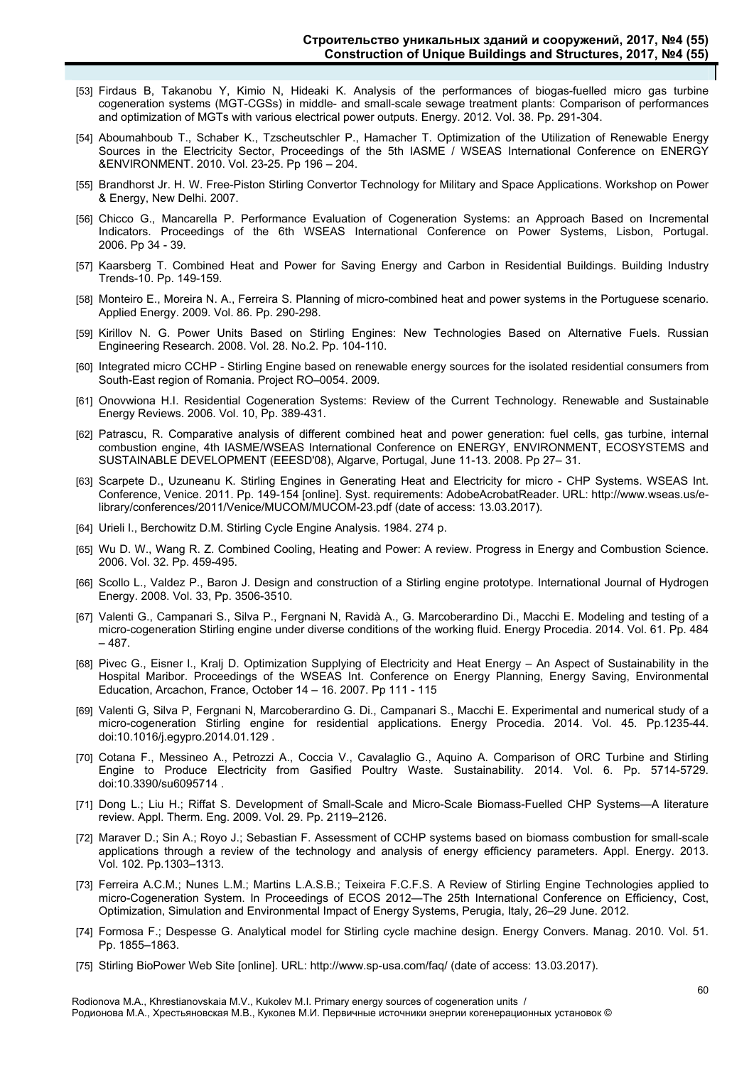- [53] Firdaus B, Takanobu Y, Kimio N, Hideaki K. Analysis of the performances of biogas-fuelled micro gas turbine cogeneration systems (MGT-CGSs) in middle- and small-scale sewage treatment plants: Comparison of performances and optimization of MGTs with various electrical power outputs. Energy. 2012. Vol. 38. Pp. 291-304.
- [54] Aboumahboub T., Schaber K., Tzscheutschler P., Hamacher T. Optimization of the Utilization of Renewable Energy Sources in the Electricity Sector, Proceedings of the 5th IASME / WSEAS International Conference on ENERGY &ENVIRONMENT. 2010. Vol. 23-25. Pp 196 – 204.
- [55] Brandhorst Jr. H. W. Free-Piston Stirling Convertor Technology for Military and Space Applications. Workshop on Power & Energy, New Delhi. 2007.
- [56] Chicco G., Mancarella P. Performance Evaluation of Cogeneration Systems: an Approach Based on Incremental Indicators. Proceedings of the 6th WSEAS International Conference on Power Systems, Lisbon, Portugal. 2006. Pp 34 - 39.
- [57] Kaarsberg T. Combined Heat and Power for Saving Energy and Carbon in Residential Buildings. Building Industry Trends-10. Pp. 149-159.
- [58] Monteiro E., Moreira N. A., Ferreira S. Planning of micro-combined heat and power systems in the Portuguese scenario. Applied Energy. 2009. Vol. 86. Pp. 290-298.
- [59] Kirillov N. G. Power Units Based on Stirling Engines: New Technologies Based on Alternative Fuels. Russian Engineering Research. 2008. Vol. 28. No.2. Pp. 104-110.
- [60] Integrated micro CCHP Stirling Engine based on renewable energy sources for the isolated residential consumers from South-East region of Romania. Project RO–0054. 2009.
- [61] Onovwiona H.I. Residential Cogeneration Systems: Review of the Current Technology. Renewable and Sustainable Energy Reviews. 2006. Vol. 10, Pp. 389-431.
- [62] Patrascu, R. Comparative analysis of different combined heat and power generation: fuel cells, gas turbine, internal combustion engine, 4th IASME/WSEAS International Conference on ENERGY, ENVIRONMENT, ECOSYSTEMS and SUSTAINABLE DEVELOPMENT (EEESD'08), Algarve, Portugal, June 11-13. 2008. Pp 27– 31.
- [63] Scarpete D., Uzuneanu K. Stirling Engines in Generating Heat and Electricity for micro CHP Systems. WSEAS Int. Conference, Venice. 2011. Pp. 149-154 [online]. Syst. requirements: AdobeAcrobatReader. URL: http://www.wseas.us/elibrary/conferences/2011/Venice/MUCOM/MUCOM-23.pdf (date of access: 13.03.2017).
- [64] Urieli I., Berchowitz D.M. Stirling Cycle Engine Analysis. 1984. 274 p.
- [65] Wu D. W., Wang R. Z. Combined Cooling, Heating and Power: A review. Progress in Energy and Combustion Science. 2006. Vol. 32. Pp. 459-495.
- [66] Scollo L., Valdez P., Baron J. Design and construction of a Stirling engine prototype. International Journal of Hydrogen Energy. 2008. Vol. 33, Pp. 3506-3510.
- [67] Valenti G., Campanari S., Silva P., Fergnani N, Ravidà A., G. Marcoberardino Di., Macchi E. Modeling and testing of a micro-cogeneration Stirling engine under diverse conditions of the working fluid. Energy Procedia. 2014. Vol. 61. Pp. 484 – 487.
- [68] Pivec G., Eisner l., Kralj D. Optimization Supplying of Electricity and Heat Energy An Aspect of Sustainability in the Hospital Maribor. Proceedings of the WSEAS Int. Conference on Energy Planning, Energy Saving, Environmental Education, Arcachon, France, October 14 – 16. 2007. Pp 111 - 115
- [69] Valenti G, Silva P, Fergnani N, Marcoberardino G. Di., Campanari S., Macchi E. Experimental and numerical study of a micro-cogeneration Stirling engine for residential applications. Energy Procedia. 2014. Vol. 45. Pp.1235-44. doi:10.1016/j.egypro.2014.01.129 .
- [70] Cotana F., Messineo A., Petrozzi A., Coccia V., Cavalaglio G., Aquino A. Comparison of ORC Turbine and Stirling Engine to Produce Electricity from Gasified Poultry Waste. Sustainability. 2014. Vol. 6. Pp. 5714-5729. doi:10.3390/su6095714 .
- [71] Dong L.; Liu H.; Riffat S. Development of Small-Scale and Micro-Scale Biomass-Fuelled CHP Systems-A literature review. Appl. Therm. Eng. 2009. Vol. 29. Pp. 2119–2126.
- [72] Maraver D.; Sin A.; Royo J.; Sebastian F. Assessment of CCHP systems based on biomass combustion for small-scale applications through a review of the technology and analysis of energy efficiency parameters. Appl. Energy. 2013. Vol. 102. Pp.1303–1313.
- [73] Ferreira A.C.M.; Nunes L.M.; Martins L.A.S.B.; Teixeira F.C.F.S. A Review of Stirling Engine Technologies applied to micro-Cogeneration System. In Proceedings of ECOS 2012—The 25th International Conference on Efficiency, Cost, Optimization, Simulation and Environmental Impact of Energy Systems, Perugia, Italy, 26–29 June. 2012.
- [74] Formosa F.; Despesse G. Analytical model for Stirling cycle machine design. Energy Convers. Manag. 2010. Vol. 51. Pp. 1855–1863.
- [75] Stirling BioPower Web Site [online]. URL: http://www.sp-usa.com/faq/ (date of access: 13.03.2017).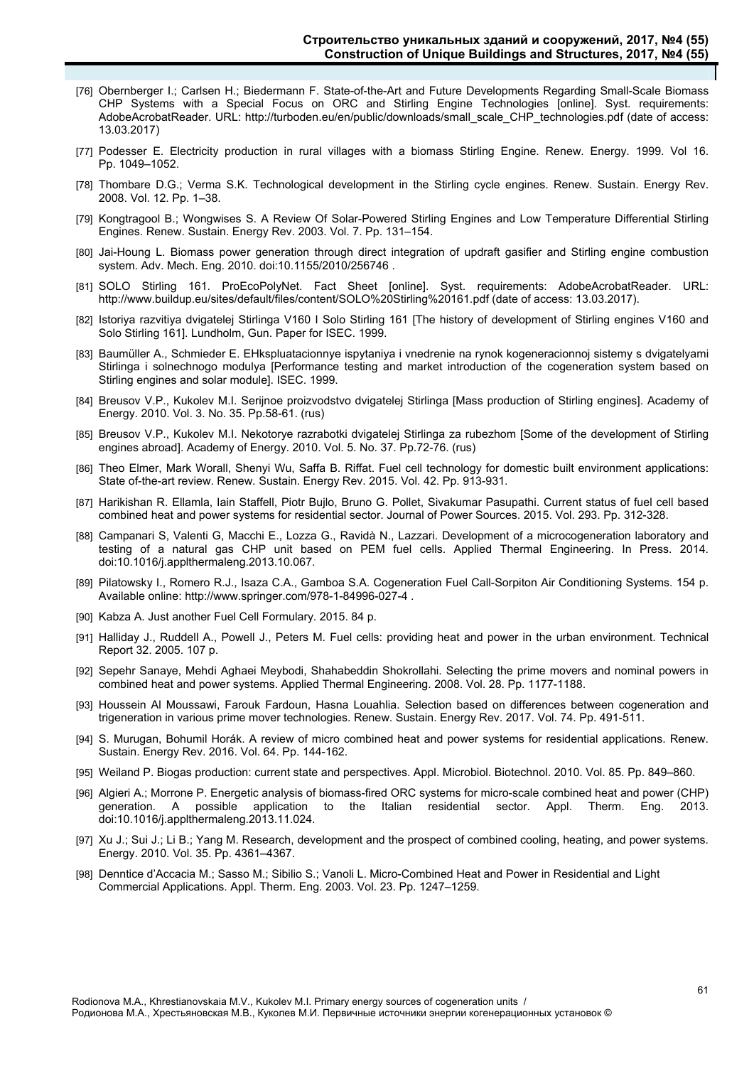- [76] Obernberger I.; Carlsen H.; Biedermann F. State-of-the-Art and Future Developments Regarding Small-Scale Biomass CHP Systems with a Special Focus on ORC and Stirling Engine Technologies [online]. Syst. requirements: AdobeAcrobatReader. URL: http://turboden.eu/en/public/downloads/small\_scale\_CHP\_technologies.pdf (date of access: 13.03.2017)
- [77] Podesser E. Electricity production in rural villages with a biomass Stirling Engine. Renew. Energy. 1999. Vol 16. Pp. 1049–1052.
- [78] Thombare D.G.; Verma S.K. Technological development in the Stirling cycle engines. Renew. Sustain. Energy Rev. 2008. Vol. 12. Pp. 1–38.
- [79] Kongtragool B.; Wongwises S. A Review Of Solar-Powered Stirling Engines and Low Temperature Differential Stirling Engines. Renew. Sustain. Energy Rev. 2003. Vol. 7. Pp. 131–154.
- [80] Jai-Houng L. Biomass power generation through direct integration of updraft gasifier and Stirling engine combustion system. Adv. Mech. Eng. 2010. doi:10.1155/2010/256746 .
- [81] SOLO Stirling 161. ProEcoPolyNet. Fact Sheet [online]. Syst. requirements: AdobeAcrobatReader. URL: http://www.buildup.eu/sites/default/files/content/SOLO%20Stirling%20161.pdf (date of access: 13.03.2017).
- [82] Istoriya razvitiya dvigatelej Stirlinga V160 I Solo Stirling 161 [The history of development of Stirling engines V160 and Solo Stirling 161]. Lundholm, Gun. Paper for ISEC. 1999.
- [83] Baumüller A., Schmieder E. EHkspluatacionnye ispytaniya i vnedrenie na rynok kogeneracionnoj sistemy s dvigatelyami Stirlinga i solnechnogo modulya [Performance testing and market introduction of the cogeneration system based on Stirling engines and solar module]. ISEC. 1999.
- [84] Breusov V.P., Kukolev M.I. Serijnoe proizvodstvo dvigatelej Stirlinga [Mass production of Stirling engines]. Academy of Energy. 2010. Vol. 3. No. 35. Pp.58-61. (rus)
- [85] Breusov V.P., Kukolev M.I. Nekotorye razrabotki dvigatelej Stirlinga za rubezhom [Some of the development of Stirling engines abroad]. Academy of Energy. 2010. Vol. 5. No. 37. Pp.72-76. (rus)
- [86] Theo Elmer, Mark Worall, Shenyi Wu, Saffa B. Riffat. Fuel cell technology for domestic built environment applications: State of-the-art review. Renew. Sustain. Energy Rev. 2015. Vol. 42. Pp. 913-931.
- [87] Harikishan R. Ellamla, Iain Staffell, Piotr Bujlo, Bruno G. Pollet, Sivakumar Pasupathi. Current status of fuel cell based combined heat and power systems for residential sector. Journal of Power Sources. 2015. Vol. 293. Pp. 312-328.
- [88] Campanari S, Valenti G, Macchi E., Lozza G., Ravidà N., Lazzari. Development of a microcogeneration laboratory and testing of a natural gas CHP unit based on PEM fuel cells. Applied Thermal Engineering. In Press. 2014. doi:10.1016/j.applthermaleng.2013.10.067.
- [89] Pilatowsky I., Romero R.J., Isaza C.A., Gamboa S.A. Cogeneration Fuel Call-Sorpiton Air Conditioning Systems. 154 p. Available online: http://www.springer.com/978-1-84996-027-4 .
- [90] Kabza A. Just another Fuel Cell Formulary. 2015. 84 p.
- [91] Halliday J., Ruddell A., Powell J., Peters M. Fuel cells: providing heat and power in the urban environment. Technical Report 32. 2005. 107 p.
- [92] Sepehr Sanaye, Mehdi Aghaei Meybodi, Shahabeddin Shokrollahi. Selecting the prime movers and nominal powers in combined heat and power systems. Applied Thermal Engineering. 2008. Vol. 28. Pp. 1177-1188.
- [93] Houssein Al Moussawi, Farouk Fardoun, Hasna Louahlia. Selection based on differences between cogeneration and trigeneration in various prime mover technologies. Renew. Sustain. Energy Rev. 2017. Vol. 74. Pp. 491-511.
- [94] S. Murugan, Bohumil Horák. A review of micro combined heat and power systems for residential applications. Renew. Sustain. Energy Rev. 2016. Vol. 64. Pp. 144-162.
- [95] Weiland P. Biogas production: current state and perspectives. Appl. Microbiol. Biotechnol. 2010. Vol. 85. Pp. 849–860.
- [96] Algieri A.; Morrone P. Energetic analysis of biomass-fired ORC systems for micro-scale combined heat and power (CHP) generation. A possible application to the Italian residential sector. Appl. Therm. Eng. 2013. doi:10.1016/j.applthermaleng.2013.11.024.
- [97] Xu J.; Sui J.; Li B.; Yang M. Research, development and the prospect of combined cooling, heating, and power systems. Energy. 2010. Vol. 35. Pp. 4361–4367.
- [98] Denntice d'Accacia M.; Sasso M.; Sibilio S.; Vanoli L. Micro-Combined Heat and Power in Residential and Light Commercial Applications. Appl. Therm. Eng. 2003. Vol. 23. Pp. 1247–1259.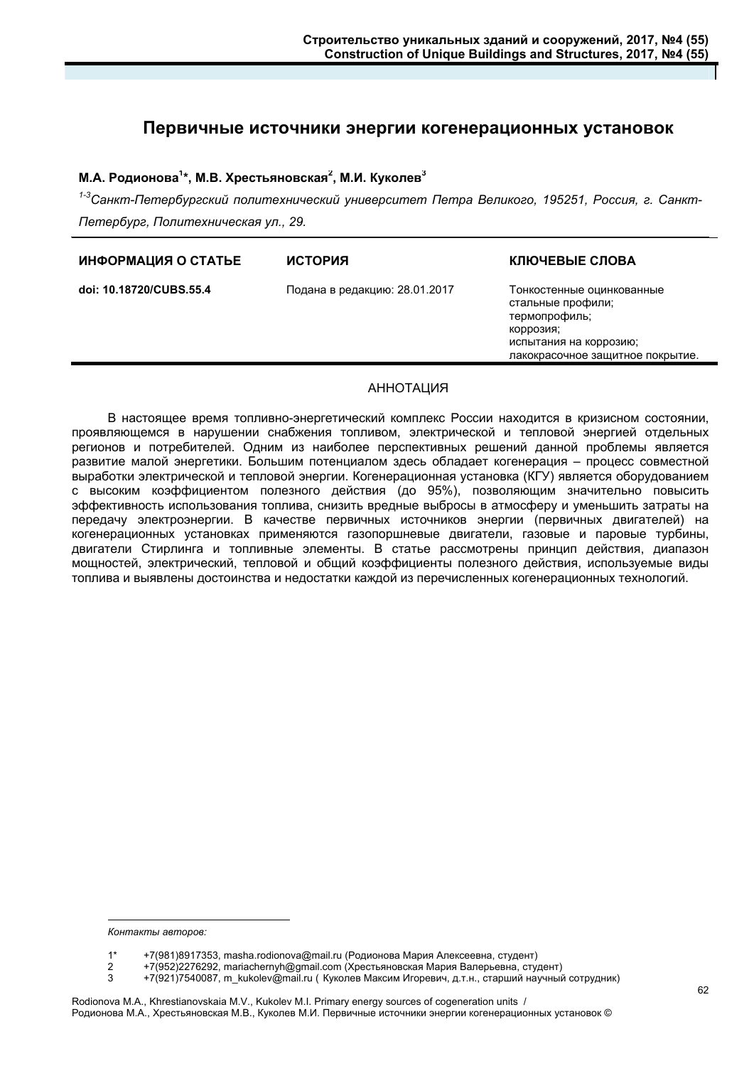## **Первичные источники энергии когенерационных установок**

### **М.А. Родионова<sup>1</sup> \*, М.В. Хрестьяновская<sup>2</sup> , М.И. Куколев<sup>3</sup>**

*1-3Санкт-Петербургский политехнический университет Петра Великого, 195251, Россия, г. Санкт-Петербург, Политехническая ул., 29.* 

| ИНФОРМАЦИЯ О СТАТЬЕ     | ИСТОРИЯ                       | КЛЮЧЕВЫЕ СЛОВА                                                                                                                             |
|-------------------------|-------------------------------|--------------------------------------------------------------------------------------------------------------------------------------------|
| doi: 10.18720/CUBS.55.4 | Подана в редакцию: 28.01.2017 | Тонкостенные оцинкованные<br>стальные профили;<br>термопрофиль;<br>коррозия:<br>испытания на коррозию;<br>лакокрасочное защитное покрытие. |
|                         |                               |                                                                                                                                            |

#### АННОТАЦИЯ

В настоящее время топливно-энергетический комплекс России находится в кризисном состоянии, проявляющемся в нарушении снабжения топливом, электрической и тепловой энергией отдельных регионов и потребителей. Одним из наиболее перспективных решений данной проблемы является развитие малой энергетики. Большим потенциалом здесь обладает когенерация – процесс совместной выработки электрической и тепловой энергии. Когенерационная установка (КГУ) является оборудованием с высоким коэффициентом полезного действия (до 95%), позволяющим значительно повысить эффективность использования топлива, снизить вредные выбросы в атмосферу и уменьшить затраты на передачу электроэнергии. В качестве первичных источников энергии (первичных двигателей) на когенерационных установках применяются газопоршневые двигатели, газовые и паровые турбины, двигатели Стирлинга и топливные элементы. В статье рассмотрены принцип действия, диапазон мощностей, электрический, тепловой и общий коэффициенты полезного действия, используемые виды топлива и выявлены достоинства и недостатки каждой из перечисленных когенерационных технологий.

-

*Контакты авторов:* 

<sup>1\* +7(981)8917353,</sup> masha.rodionova@mail.ru (Родионова Мария Алексеевна, студент)<br>2 +7(952)2276292, mariachernyh@gmail.com (Хрестьяновская Мария Валерьевна, студ

<sup>2 +7(952)2276292,</sup> mariachernyh@gmail.com (Хрестьяновская Мария Валерьевна, студент)

<sup>3 +7(921)7540087,</sup> m\_kukolev@mail.ru ( Куколев Максим Игоревич, д.т.н., старший научный сотрудник)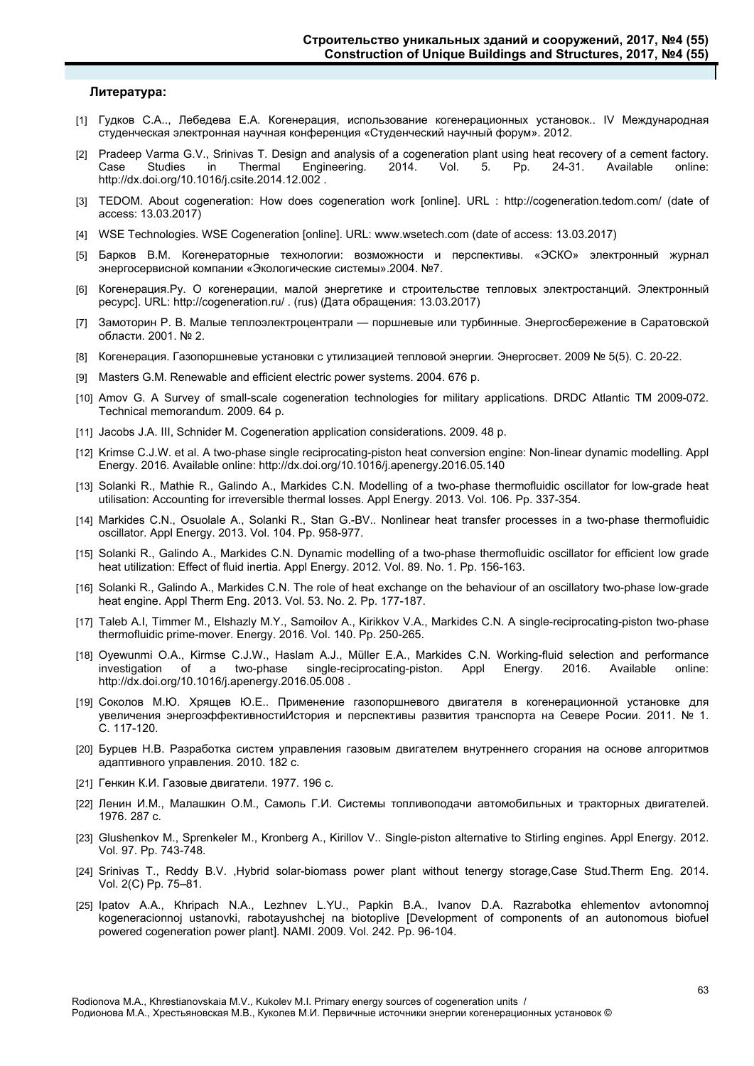#### **Литература:**

- [1] Гудков С.А.., Лебедева Е.А. Когенерация, использование когенерационных установок.. IV Международная студенческая электронная научная конференция «Студенческий научный форум». 2012.
- [2] Pradeep Varma G.V., Srinivas T. Design and analysis of a cogeneration plant using heat recovery of a cement factory. Case Studies in Thermal Engineering. 2014. Vol. 5. Pp. 24-31. Available online: http://dx.doi.org/10.1016/j.csite.2014.12.002 .
- [3] TEDOM. About cogeneration: How does cogeneration work [online]. URL : http://cogeneration.tedom.com/ (date of access: 13.03.2017)
- [4] WSE Technologies. WSE Cogeneration [online]. URL: www.wsetech.com (date of access: 13.03.2017)
- [5] Барков В.М. Когенераторные технологии: возможности и перспективы. «ЭСКО» электронный журнал энергосервисной компании «Экологические системы».2004. №7.
- [6] Когенерация.Ру. О когенерации, малой энергетике и строительстве тепловых электростанций. Электронный ресурс]. URL: http://cogeneration.ru/ . (rus) (Дата обращения: 13.03.2017)
- [7] Замоторин Р. В. Малые теплоэлектроцентрали поршневые или турбинные. Энергосбережение в Саратовской области. 2001. № 2.
- [8] Когенерация. Газопоршневые установки с утилизацией тепловой энергии. Энергосвет. 2009 № 5(5). С. 20-22.
- [9] Masters G.M. Renewable and efficient electric power systems. 2004. 676 p.
- [10] Amov G. A Survey of small-scale cogeneration technologies for military applications. DRDC Atlantic TM 2009-072. Technical memorandum. 2009. 64 p.
- [11] Jacobs J.A. III, Schnider M. Cogeneration application considerations. 2009. 48 p.
- [12] Krimse C.J.W. et al. A two-phase single reciprocating-piston heat conversion engine: Non-linear dynamic modelling. Appl Energy. 2016. Available online: http://dx.doi.org/10.1016/j.apenergy.2016.05.140
- [13] Solanki R., Mathie R., Galindo A., Markides C.N. Modelling of a two-phase thermofluidic oscillator for low-grade heat utilisation: Accounting for irreversible thermal losses. Appl Energy. 2013. Vol. 106. Pp. 337-354.
- [14] Markides C.N., Osuolale A., Solanki R., Stan G.-BV.. Nonlinear heat transfer processes in a two-phase thermofluidic oscillator. Appl Energy. 2013. Vol. 104. Pp. 958-977.
- [15] Solanki R., Galindo A., Markides C.N. Dynamic modelling of a two-phase thermofluidic oscillator for efficient low grade heat utilization: Effect of fluid inertia. Appl Energy. 2012. Vol. 89. No. 1. Pp. 156-163.
- [16] Solanki R., Galindo A., Markides C.N. The role of heat exchange on the behaviour of an oscillatory two-phase low-grade heat engine. Appl Therm Eng. 2013. Vol. 53. No. 2. Pp. 177-187.
- [17] Taleb A.I, Timmer M., Elshazly M.Y., Samoilov A., Kirikkov V.A., Markides C.N. A single-reciprocating-piston two-phase thermofluidic prime-mover. Energy. 2016. Vol. 140. Pp. 250-265.
- [18] Oyewunmi O.A., Kirmse C.J.W., Haslam A.J., Müller E.A., Markides C.N. Working-fluid selection and performance investigation of a two-phase single-reciprocating-piston. Appl Energy. 2016. Available online: http://dx.doi.org/10.1016/j.apenergy.2016.05.008 .
- [19] Соколов М.Ю. Хрящев Ю.Е.. Применение газопоршневого двигателя в когенерационной установке для увеличения энергоэффективностиИстория и перспективы развития транспорта на Севере Росии. 2011. № 1. С. 117-120.
- [20] Бурцев Н.В. Разработка систем управления газовым двигателем внутреннего сгорания на основе алгоритмов адаптивного управления. 2010. 182 с.
- [21] Генкин К.И. Газовые двигатели. 1977. 196 с.
- [22] Ленин И.М., Малашкин О.М., Самоль Г.И. Системы топливоподачи автомобильных и тракторных двигателей. 1976. 287 с.
- [23] Glushenkov M., Sprenkeler M., Kronberg A., Kirillov V.. Single-piston alternative to Stirling engines. Appl Energy. 2012. Vol. 97. Pp. 743-748.
- [24] Srinivas T., Reddy B.V. ,Hybrid solar-biomass power plant without tenergy storage,Case Stud.Therm Eng. 2014. Vol. 2(C) Pp. 75–81.
- [25] Ipatov A.A., Khripach N.A., Lezhnev L.YU., Papkin B.A., Ivanov D.A. Razrabotka ehlementov avtonomnoj kogeneracionnoj ustanovki, rabotayushchej na biotoplive [Development of components of an autonomous biofuel powered cogeneration power plant]. NAMI. 2009. Vol. 242. Pp. 96-104.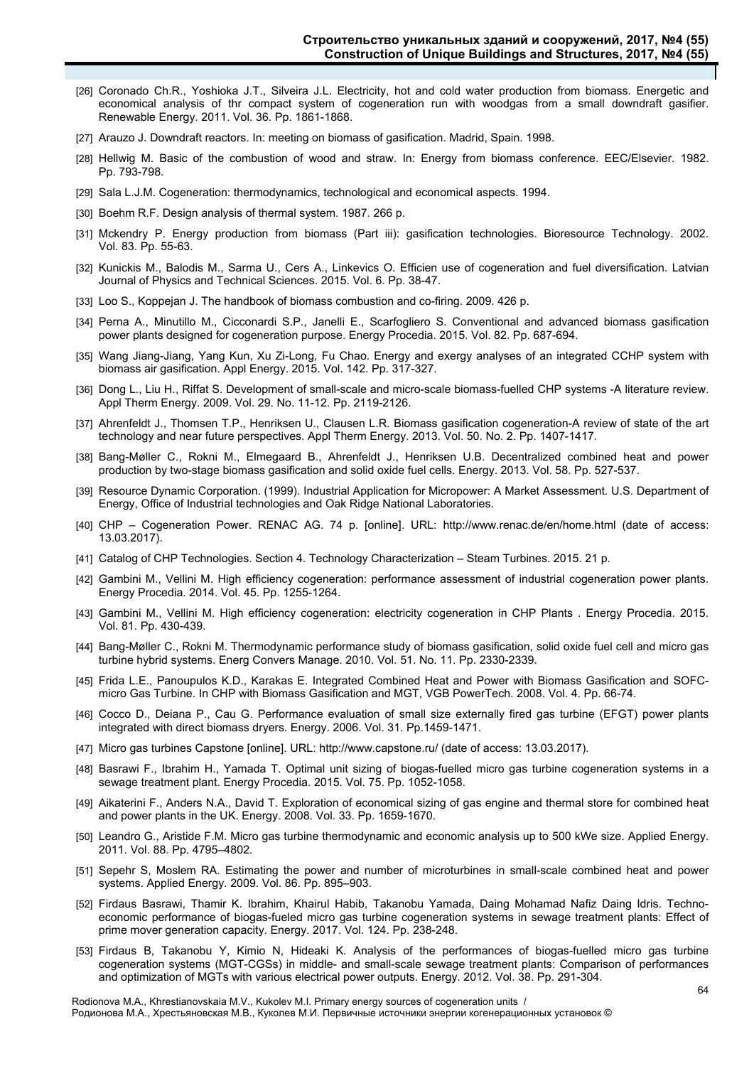- [26] Coronado Ch.R., Yoshioka J.T., Silveira J.L. Electricity, hot and cold water production from biomass. Energetic and economical analysis of thr compact system of cogeneration run with woodgas from a small downdraft gasifier. Renewable Energy. 2011. Vol. 36. Pp. 1861-1868.
- [27] Arauzo J. Downdraft reactors. In: meeting on biomass of gasification. Madrid, Spain. 1998.
- [28] Hellwig M. Basic of the combustion of wood and straw. In: Energy from biomass conference. EEC/Elsevier. 1982. Pp. 793-798.
- [29] Sala L.J.M. Cogeneration: thermodynamics, technological and economical aspects. 1994.
- [30] Boehm R.F. Design analysis of thermal system. 1987. 266 p.
- [31] Mckendry P. Energy production from biomass (Part iii): gasification technologies. Bioresource Technology. 2002. Vol. 83. Pp. 55-63.
- [32] Kunickis M., Balodis M., Sarma U., Cers A., Linkevics O. Efficien use of cogeneration and fuel diversification. Latvian Journal of Physics and Technical Sciences. 2015. Vol. 6. Pp. 38-47.
- [33] Loo S., Koppejan J. The handbook of biomass combustion and co-firing. 2009. 426 p.
- [34] Perna A., Minutillo M., Cicconardi S.P., Janelli E., Scarfogliero S. Conventional and advanced biomass gasification power plants designed for cogeneration purpose. Energy Procedia. 2015. Vol. 82. Pp. 687-694.
- [35] Wang Jiang-Jiang, Yang Kun, Xu Zi-Long, Fu Chao. Energy and exergy analyses of an integrated CCHP system with biomass air gasification. Appl Energy. 2015. Vol. 142. Pp. 317-327.
- [36] Dong L., Liu H., Riffat S. Development of small-scale and micro-scale biomass-fuelled CHP systems -A literature review. Appl Therm Energy. 2009. Vol. 29. No. 11-12. Pp. 2119-2126.
- [37] Ahrenfeldt J., Thomsen T.P., Henriksen U., Clausen L.R. Biomass gasification cogeneration-A review of state of the art technology and near future perspectives. Appl Therm Energy. 2013. Vol. 50. No. 2. Pp. 1407-1417.
- [38] Bang-Møller C., Rokni M., Elmegaard B., Ahrenfeldt J., Henriksen U.B. Decentralized combined heat and power production by two-stage biomass gasification and solid oxide fuel cells. Energy. 2013. Vol. 58. Pp. 527-537.
- [39] Resource Dynamic Corporation. (1999). Industrial Application for Micropower: A Market Assessment. U.S. Department of Energy, Office of Industrial technologies and Oak Ridge National Laboratories.
- [40] CHP Cogeneration Power. RENAC AG. 74 p. [online]. URL: http://www.renac.de/en/home.html (date of access: 13.03.2017).
- [41] Catalog of CHP Technologies. Section 4. Technology Characterization Steam Turbines. 2015. 21 p.
- [42] Gambini M., Vellini M. High efficiency cogeneration: performance assessment of industrial cogeneration power plants. Energy Procedia. 2014. Vol. 45. Pp. 1255-1264.
- [43] Gambini M., Vellini M. High efficiency cogeneration: electricity cogeneration in CHP Plants . Energy Procedia. 2015. Vol. 81. Pp. 430-439.
- [44] Bang-Møller C., Rokni M. Thermodynamic performance study of biomass gasification, solid oxide fuel cell and micro gas turbine hybrid systems. Energ Convers Manage. 2010. Vol. 51. No. 11. Pp. 2330-2339.
- [45] Frida L.E., Panoupulos K.D., Karakas E. Integrated Combined Heat and Power with Biomass Gasification and SOFCmicro Gas Turbine. In CHP with Biomass Gasification and MGT, VGB PowerTech. 2008. Vol. 4. Pp. 66-74.
- [46] Cocco D., Deiana P., Cau G. Performance evaluation of small size externally fired gas turbine (EFGT) power plants integrated with direct biomass dryers. Energy. 2006. Vol. 31. Pp.1459-1471.
- [47] Micro gas turbines Capstone [online]. URL: http://www.capstone.ru/ (date of access: 13.03.2017).
- [48] Basrawi F., Ibrahim H., Yamada T. Optimal unit sizing of biogas-fuelled micro gas turbine cogeneration systems in a sewage treatment plant. Energy Procedia. 2015. Vol. 75. Pp. 1052-1058.
- [49] Aikaterini F., Anders N.A., David T. Exploration of economical sizing of gas engine and thermal store for combined heat and power plants in the UK. Energy. 2008. Vol. 33. Pp. 1659-1670.
- [50] Leandro G., Aristide F.M. Micro gas turbine thermodynamic and economic analysis up to 500 kWe size. Applied Energy. 2011. Vol. 88. Pp. 4795–4802.
- [51] Sepehr S, Moslem RA. Estimating the power and number of microturbines in small-scale combined heat and power systems. Applied Energy. 2009. Vol. 86. Pp. 895–903.
- [52] Firdaus Basrawi, Thamir K. Ibrahim, Khairul Habib, Takanobu Yamada, Daing Mohamad Nafiz Daing Idris. Technoeconomic performance of biogas-fueled micro gas turbine cogeneration systems in sewage treatment plants: Effect of prime mover generation capacity. Energy. 2017. Vol. 124. Pp. 238-248.
- [53] Firdaus B, Takanobu Y, Kimio N, Hideaki K. Analysis of the performances of biogas-fuelled micro gas turbine cogeneration systems (MGT-CGSs) in middle- and small-scale sewage treatment plants: Comparison of performances and optimization of MGTs with various electrical power outputs. Energy. 2012. Vol. 38. Pp. 291-304.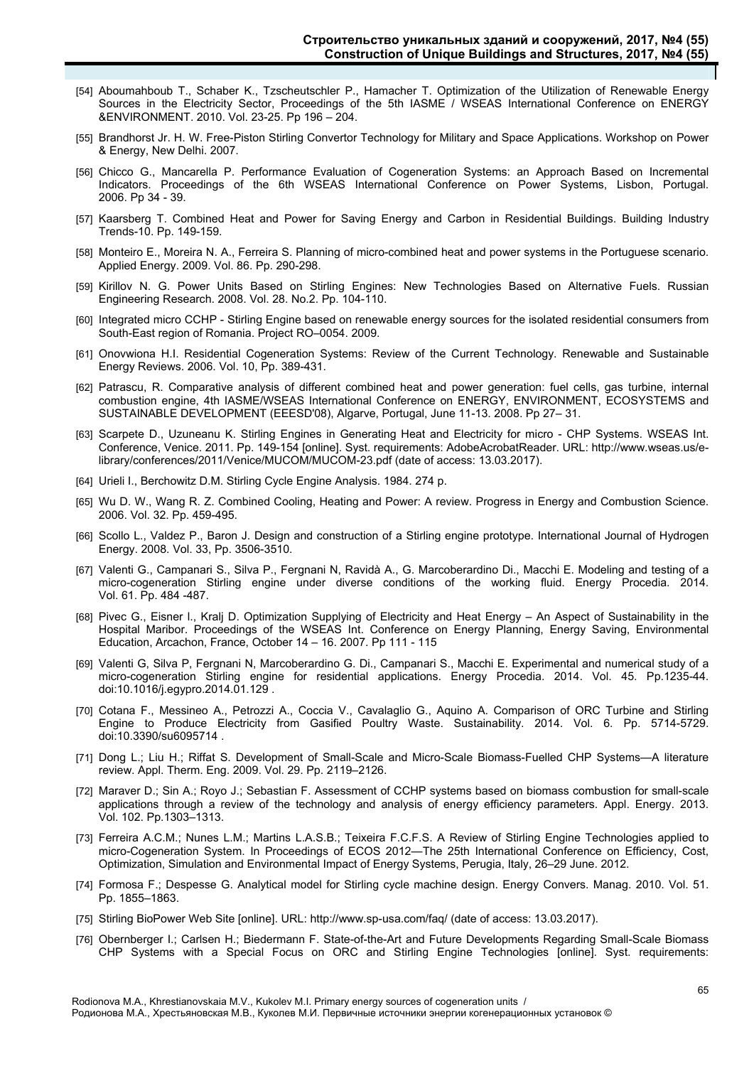- [54] Aboumahboub T., Schaber K., Tzscheutschler P., Hamacher T. Optimization of the Utilization of Renewable Energy Sources in the Electricity Sector, Proceedings of the 5th IASME / WSEAS International Conference on ENERGY &ENVIRONMENT. 2010. Vol. 23-25. Pp 196 – 204.
- [55] Brandhorst Jr. H. W. Free-Piston Stirling Convertor Technology for Military and Space Applications. Workshop on Power & Energy, New Delhi. 2007.
- [56] Chicco G., Mancarella P. Performance Evaluation of Cogeneration Systems: an Approach Based on Incremental Indicators. Proceedings of the 6th WSEAS International Conference on Power Systems, Lisbon, Portugal. 2006. Pp 34 - 39.
- [57] Kaarsberg T. Combined Heat and Power for Saving Energy and Carbon in Residential Buildings. Building Industry Trends-10. Pp. 149-159.
- [58] Monteiro E., Moreira N. A., Ferreira S. Planning of micro-combined heat and power systems in the Portuguese scenario. Applied Energy. 2009. Vol. 86. Pp. 290-298.
- [59] Kirillov N. G. Power Units Based on Stirling Engines: New Technologies Based on Alternative Fuels. Russian Engineering Research. 2008. Vol. 28. No.2. Pp. 104-110.
- [60] Integrated micro CCHP Stirling Engine based on renewable energy sources for the isolated residential consumers from South-East region of Romania. Project RO–0054. 2009.
- [61] Onovwiona H.I. Residential Cogeneration Systems: Review of the Current Technology. Renewable and Sustainable Energy Reviews. 2006. Vol. 10, Pp. 389-431.
- [62] Patrascu, R. Comparative analysis of different combined heat and power generation: fuel cells, gas turbine, internal combustion engine, 4th IASME/WSEAS International Conference on ENERGY, ENVIRONMENT, ECOSYSTEMS and SUSTAINABLE DEVELOPMENT (EEESD'08), Algarve, Portugal, June 11-13. 2008. Pp 27– 31.
- [63] Scarpete D., Uzuneanu K. Stirling Engines in Generating Heat and Electricity for micro CHP Systems. WSEAS Int. Conference, Venice. 2011. Pp. 149-154 [online]. Syst. requirements: AdobeAcrobatReader. URL: http://www.wseas.us/elibrary/conferences/2011/Venice/MUCOM/MUCOM-23.pdf (date of access: 13.03.2017).
- [64] Urieli I., Berchowitz D.M. Stirling Cycle Engine Analysis. 1984. 274 p.
- [65] Wu D. W., Wang R. Z. Combined Cooling, Heating and Power: A review. Progress in Energy and Combustion Science. 2006. Vol. 32. Pp. 459-495.
- [66] Scollo L., Valdez P., Baron J. Design and construction of a Stirling engine prototype. International Journal of Hydrogen Energy. 2008. Vol. 33, Pp. 3506-3510.
- [67] Valenti G., Campanari S., Silva P., Fergnani N, Ravidà A., G. Marcoberardino Di., Macchi E. Modeling and testing of a micro-cogeneration Stirling engine under diverse conditions of the working fluid. Energy Procedia. 2014. Vol. 61. Pp. 484 -487.
- [68] Pivec G., Eisner l., Kralj D. Optimization Supplying of Electricity and Heat Energy An Aspect of Sustainability in the Hospital Maribor. Proceedings of the WSEAS Int. Conference on Energy Planning, Energy Saving, Environmental Education, Arcachon, France, October 14 – 16. 2007. Pp 111 - 115
- [69] Valenti G, Silva P, Fergnani N, Marcoberardino G. Di., Campanari S., Macchi E. Experimental and numerical study of a micro-cogeneration Stirling engine for residential applications. Energy Procedia. 2014. Vol. 45. Pp.1235-44. doi:10.1016/j.egypro.2014.01.129 .
- [70] Cotana F., Messineo A., Petrozzi A., Coccia V., Cavalaglio G., Aquino A. Comparison of ORC Turbine and Stirling Engine to Produce Electricity from Gasified Poultry Waste. Sustainability. 2014. Vol. 6. Pp. 5714-5729. doi:10.3390/su6095714 .
- [71] Dong L.; Liu H.; Riffat S. Development of Small-Scale and Micro-Scale Biomass-Fuelled CHP Systems—A literature review. Appl. Therm. Eng. 2009. Vol. 29. Pp. 2119–2126.
- [72] Maraver D.; Sin A.; Royo J.; Sebastian F. Assessment of CCHP systems based on biomass combustion for small-scale applications through a review of the technology and analysis of energy efficiency parameters. Appl. Energy. 2013. Vol. 102. Pp.1303–1313.
- [73] Ferreira A.C.M.; Nunes L.M.; Martins L.A.S.B.; Teixeira F.C.F.S. A Review of Stirling Engine Technologies applied to micro-Cogeneration System. In Proceedings of ECOS 2012—The 25th International Conference on Efficiency, Cost, Optimization, Simulation and Environmental Impact of Energy Systems, Perugia, Italy, 26–29 June. 2012.
- [74] Formosa F.; Despesse G. Analytical model for Stirling cycle machine design. Energy Convers. Manag. 2010. Vol. 51. Pp. 1855–1863.
- [75] Stirling BioPower Web Site [online]. URL: http://www.sp-usa.com/faq/ (date of access: 13.03.2017).
- [76] Obernberger I.; Carlsen H.; Biedermann F. State-of-the-Art and Future Developments Regarding Small-Scale Biomass CHP Systems with a Special Focus on ORC and Stirling Engine Technologies [online]. Syst. requirements: